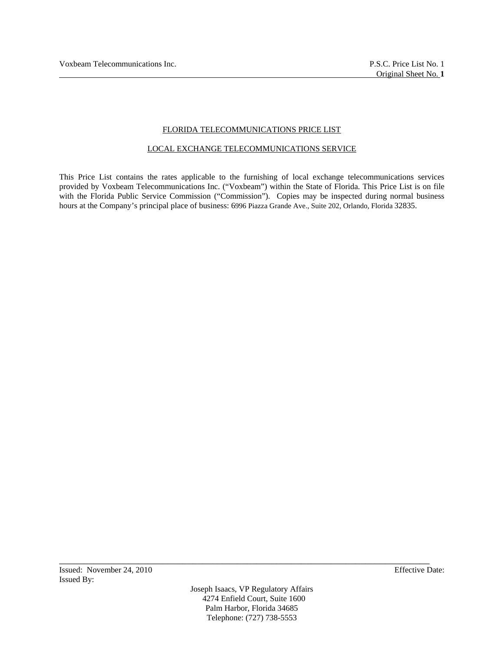## FLORIDA TELECOMMUNICATIONS PRICE LIST

### LOCAL EXCHANGE TELECOMMUNICATIONS SERVICE

This Price List contains the rates applicable to the furnishing of local exchange telecommunications services provided by Voxbeam Telecommunications Inc. ("Voxbeam") within the State of Florida. This Price List is on file with the Florida Public Service Commission ("Commission"). Copies may be inspected during normal business hours at the Company's principal place of business: 6996 Piazza Grande Ave., Suite 202, Orlando, Florida 32835.

Joseph Isaacs, VP Regulatory Affairs 4274 Enfield Court, Suite 1600 Palm Harbor, Florida 34685 Telephone: (727) 738-5553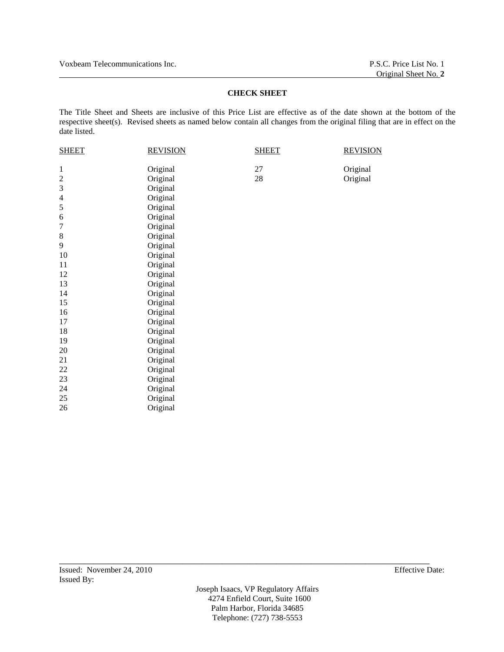Voxbeam Telecommunications Inc. P.S.C. Price List No. 1

# **CHECK SHEET**

The Title Sheet and Sheets are inclusive of this Price List are effective as of the date shown at the bottom of the respective sheet(s). Revised sheets as named below contain all changes from the original filing that are in effect on the date listed.

| <b>SHEET</b>     | <b>REVISION</b> | <b>SHEET</b> | <b>REVISION</b> |
|------------------|-----------------|--------------|-----------------|
| 1                | Original        | 27           | Original        |
| $\boldsymbol{2}$ | Original        | 28           | Original        |
| 3                | Original        |              |                 |
| $\overline{4}$   | Original        |              |                 |
| 5                | Original        |              |                 |
| 6                | Original        |              |                 |
| 7                | Original        |              |                 |
| $8\,$            | Original        |              |                 |
| 9                | Original        |              |                 |
| 10               | Original        |              |                 |
| $11\,$           | Original        |              |                 |
| 12               | Original        |              |                 |
| 13               | Original        |              |                 |
| 14               | Original        |              |                 |
| 15               | Original        |              |                 |
| 16               | Original        |              |                 |
| 17               | Original        |              |                 |
| 18               | Original        |              |                 |
| 19               | Original        |              |                 |
| 20               | Original        |              |                 |
| 21               | Original        |              |                 |
| 22               | Original        |              |                 |
| 23               | Original        |              |                 |
| 24               | Original        |              |                 |
| 25               | Original        |              |                 |
| 26               | Original        |              |                 |
|                  |                 |              |                 |

Joseph Isaacs, VP Regulatory Affairs 4274 Enfield Court, Suite 1600 Palm Harbor, Florida 34685 Telephone: (727) 738-5553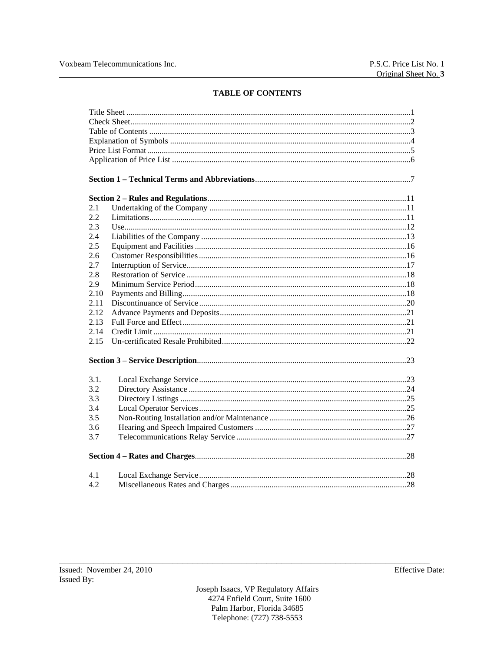# **TABLE OF CONTENTS**

| 2.1  |  |
|------|--|
| 2.2  |  |
| 2.3  |  |
| 2.4  |  |
| 2.5  |  |
| 2.6  |  |
| 2.7  |  |
| 2.8  |  |
| 2.9  |  |
| 2.10 |  |
| 2.11 |  |
| 2.12 |  |
| 2.13 |  |
| 2.14 |  |
| 2.15 |  |
|      |  |
| 3.1. |  |
| 3.2  |  |
| 3.3  |  |
| 3.4  |  |
| 3.5  |  |
| 3.6  |  |
| 3.7  |  |
|      |  |
| 4.1  |  |
| 4.2  |  |

Joseph Isaacs, VP Regulatory Affairs 4274 Enfield Court, Suite 1600 Palm Harbor, Florida 34685 Telephone: (727) 738-5553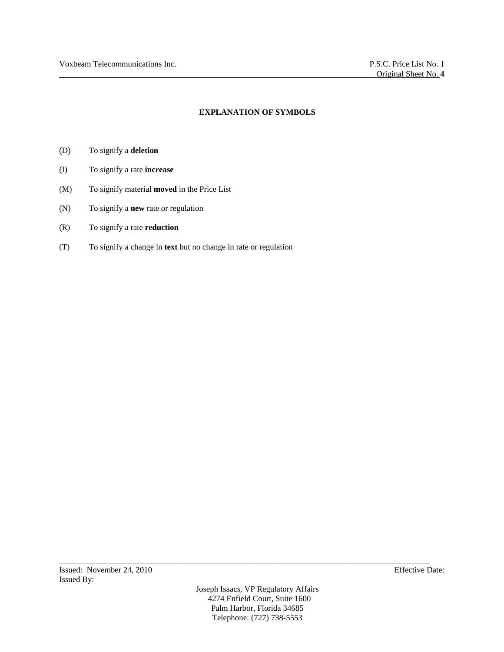## **EXPLANATION OF SYMBOLS**

- (D) To signify a **deletion**
- (I) To signify a rate **increase**
- (M) To signify material **moved** in the Price List
- (N) To signify a **new** rate or regulation
- (R) To signify a rate **reduction**
- (T) To signify a change in **text** but no change in rate or regulation

Joseph Isaacs, VP Regulatory Affairs 4274 Enfield Court, Suite 1600 Palm Harbor, Florida 34685 Telephone: (727) 738-5553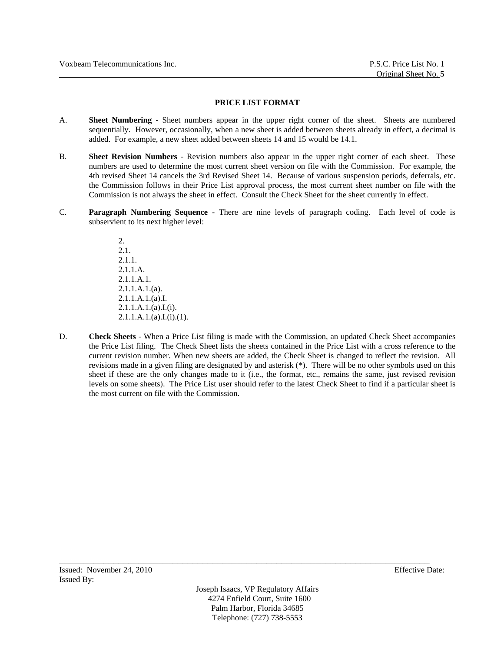### **PRICE LIST FORMAT**

- A. **Sheet Numbering**  Sheet numbers appear in the upper right corner of the sheet. Sheets are numbered sequentially. However, occasionally, when a new sheet is added between sheets already in effect, a decimal is added. For example, a new sheet added between sheets 14 and 15 would be 14.1.
- B. **Sheet Revision Numbers** Revision numbers also appear in the upper right corner of each sheet. These numbers are used to determine the most current sheet version on file with the Commission. For example, the 4th revised Sheet 14 cancels the 3rd Revised Sheet 14. Because of various suspension periods, deferrals, etc. the Commission follows in their Price List approval process, the most current sheet number on file with the Commission is not always the sheet in effect. Consult the Check Sheet for the sheet currently in effect.
- C. **Paragraph Numbering Sequence** There are nine levels of paragraph coding. Each level of code is subservient to its next higher level:

2. 2.1. 2.1.1. 2.1.1.A.  $2.1.1 A.1$ 2.1.1.A.1.(a). 2.1.1.A.1.(a).I. 2.1.1.A.1.(a).I.(i).  $2.1.1.A.1.(a).I.(i).(1).$ 

D. **Check Sheets** - When a Price List filing is made with the Commission, an updated Check Sheet accompanies the Price List filing. The Check Sheet lists the sheets contained in the Price List with a cross reference to the current revision number. When new sheets are added, the Check Sheet is changed to reflect the revision. All revisions made in a given filing are designated by and asterisk (\*). There will be no other symbols used on this sheet if these are the only changes made to it (i.e., the format, etc., remains the same, just revised revision levels on some sheets). The Price List user should refer to the latest Check Sheet to find if a particular sheet is the most current on file with the Commission.

Joseph Isaacs, VP Regulatory Affairs 4274 Enfield Court, Suite 1600 Palm Harbor, Florida 34685 Telephone: (727) 738-5553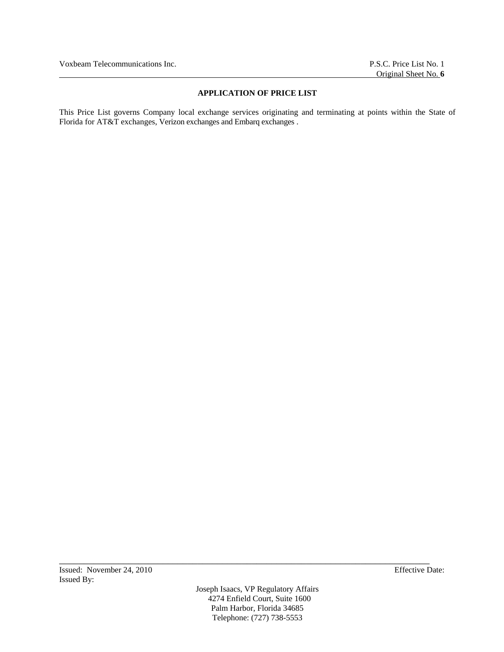## **APPLICATION OF PRICE LIST**

This Price List governs Company local exchange services originating and terminating at points within the State of Florida for AT&T exchanges, Verizon exchanges and Embarq exchanges .

Joseph Isaacs, VP Regulatory Affairs 4274 Enfield Court, Suite 1600 Palm Harbor, Florida 34685 Telephone: (727) 738-5553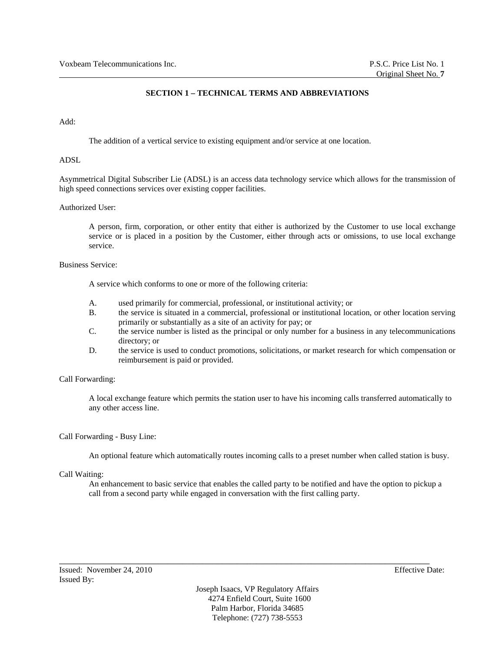## **SECTION 1 – TECHNICAL TERMS AND ABBREVIATIONS**

## Add:

The addition of a vertical service to existing equipment and/or service at one location.

## ADSL

Asymmetrical Digital Subscriber Lie (ADSL) is an access data technology service which allows for the transmission of high speed connections services over existing copper facilities.

## Authorized User:

A person, firm, corporation, or other entity that either is authorized by the Customer to use local exchange service or is placed in a position by the Customer, either through acts or omissions, to use local exchange service.

## Business Service:

A service which conforms to one or more of the following criteria:

- A. used primarily for commercial, professional, or institutional activity; or
- B. the service is situated in a commercial, professional or institutional location, or other location serving primarily or substantially as a site of an activity for pay; or
- C. the service number is listed as the principal or only number for a business in any telecommunications directory; or
- D. the service is used to conduct promotions, solicitations, or market research for which compensation or reimbursement is paid or provided.

### Call Forwarding:

A local exchange feature which permits the station user to have his incoming calls transferred automatically to any other access line.

### Call Forwarding - Busy Line:

An optional feature which automatically routes incoming calls to a preset number when called station is busy.

### Call Waiting:

An enhancement to basic service that enables the called party to be notified and have the option to pickup a call from a second party while engaged in conversation with the first calling party.

Joseph Isaacs, VP Regulatory Affairs 4274 Enfield Court, Suite 1600 Palm Harbor, Florida 34685 Telephone: (727) 738-5553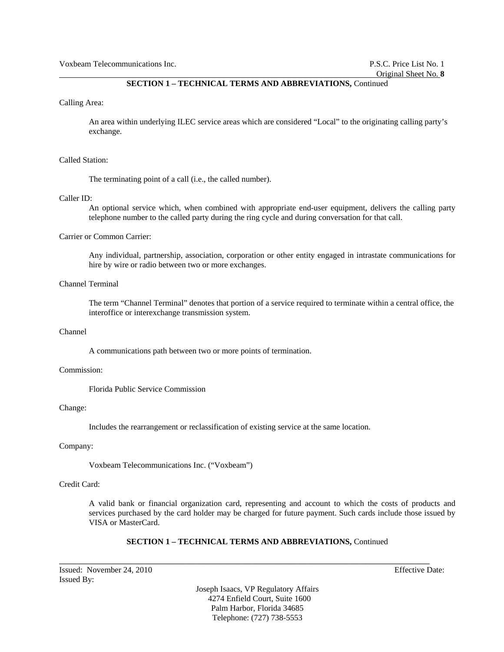## **SECTION 1 – TECHNICAL TERMS AND ABBREVIATIONS,** Continued

#### Calling Area:

An area within underlying ILEC service areas which are considered "Local" to the originating calling party's exchange.

#### Called Station:

The terminating point of a call (i.e., the called number).

#### Caller ID:

An optional service which, when combined with appropriate end-user equipment, delivers the calling party telephone number to the called party during the ring cycle and during conversation for that call.

### Carrier or Common Carrier:

Any individual, partnership, association, corporation or other entity engaged in intrastate communications for hire by wire or radio between two or more exchanges.

## Channel Terminal

The term "Channel Terminal" denotes that portion of a service required to terminate within a central office, the interoffice or interexchange transmission system.

### Channel

A communications path between two or more points of termination.

#### Commission:

Florida Public Service Commission

#### Change:

Includes the rearrangement or reclassification of existing service at the same location.

### Company:

Voxbeam Telecommunications Inc. ("Voxbeam")

### Credit Card:

A valid bank or financial organization card, representing and account to which the costs of products and services purchased by the card holder may be charged for future payment. Such cards include those issued by VISA or MasterCard.

## **SECTION 1 – TECHNICAL TERMS AND ABBREVIATIONS,** Continued

\_\_\_\_\_\_\_\_\_\_\_\_\_\_\_\_\_\_\_\_\_\_\_\_\_\_\_\_\_\_\_\_\_\_\_\_\_\_\_\_\_\_\_\_\_\_\_\_\_\_\_\_\_\_\_\_\_\_\_\_\_\_\_\_\_\_\_\_\_\_\_\_\_\_\_

Issued: November 24, 2010 Effective Date: Issued By:

Joseph Isaacs, VP Regulatory Affairs 4274 Enfield Court, Suite 1600 Palm Harbor, Florida 34685 Telephone: (727) 738-5553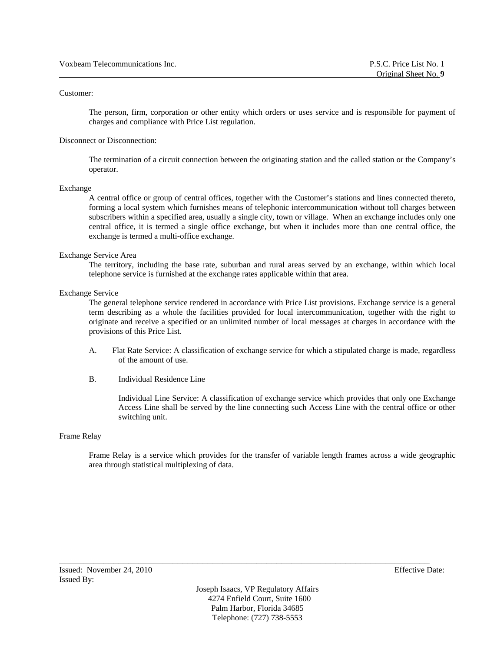### Customer:

The person, firm, corporation or other entity which orders or uses service and is responsible for payment of charges and compliance with Price List regulation.

### Disconnect or Disconnection:

The termination of a circuit connection between the originating station and the called station or the Company's operator.

#### Exchange

A central office or group of central offices, together with the Customer's stations and lines connected thereto, forming a local system which furnishes means of telephonic intercommunication without toll charges between subscribers within a specified area, usually a single city, town or village. When an exchange includes only one central office, it is termed a single office exchange, but when it includes more than one central office, the exchange is termed a multi-office exchange.

### Exchange Service Area

The territory, including the base rate, suburban and rural areas served by an exchange, within which local telephone service is furnished at the exchange rates applicable within that area.

#### Exchange Service

The general telephone service rendered in accordance with Price List provisions. Exchange service is a general term describing as a whole the facilities provided for local intercommunication, together with the right to originate and receive a specified or an unlimited number of local messages at charges in accordance with the provisions of this Price List.

- A. Flat Rate Service: A classification of exchange service for which a stipulated charge is made, regardless of the amount of use.
- B. Individual Residence Line

Individual Line Service: A classification of exchange service which provides that only one Exchange Access Line shall be served by the line connecting such Access Line with the central office or other switching unit.

#### Frame Relay

Frame Relay is a service which provides for the transfer of variable length frames across a wide geographic area through statistical multiplexing of data.

Joseph Isaacs, VP Regulatory Affairs 4274 Enfield Court, Suite 1600 Palm Harbor, Florida 34685 Telephone: (727) 738-5553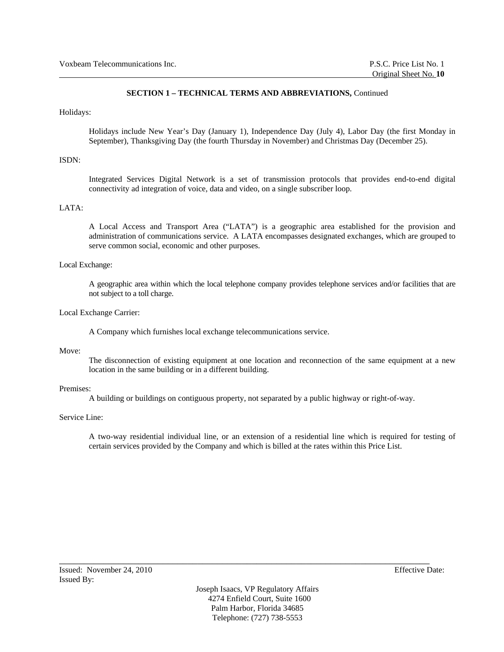## **SECTION 1 – TECHNICAL TERMS AND ABBREVIATIONS,** Continued

### Holidays:

Holidays include New Year's Day (January 1), Independence Day (July 4), Labor Day (the first Monday in September), Thanksgiving Day (the fourth Thursday in November) and Christmas Day (December 25).

### ISDN:

Integrated Services Digital Network is a set of transmission protocols that provides end-to-end digital connectivity ad integration of voice, data and video, on a single subscriber loop.

## LATA:

A Local Access and Transport Area ("LATA") is a geographic area established for the provision and administration of communications service. A LATA encompasses designated exchanges, which are grouped to serve common social, economic and other purposes.

#### Local Exchange:

A geographic area within which the local telephone company provides telephone services and/or facilities that are not subject to a toll charge.

#### Local Exchange Carrier:

A Company which furnishes local exchange telecommunications service.

### Move:

The disconnection of existing equipment at one location and reconnection of the same equipment at a new location in the same building or in a different building.

#### Premises:

A building or buildings on contiguous property, not separated by a public highway or right-of-way.

## Service Line:

A two-way residential individual line, or an extension of a residential line which is required for testing of certain services provided by the Company and which is billed at the rates within this Price List.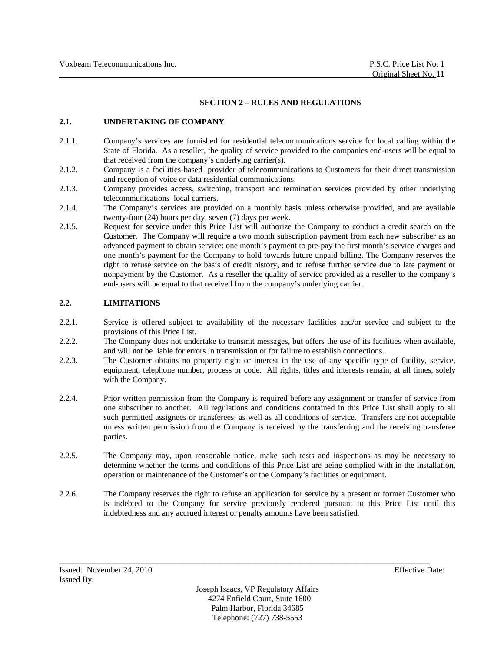### **SECTION 2 – RULES AND REGULATIONS**

## **2.1. UNDERTAKING OF COMPANY**

- 2.1.1. Company's services are furnished for residential telecommunications service for local calling within the State of Florida. As a reseller, the quality of service provided to the companies end-users will be equal to that received from the company's underlying carrier(s).
- 2.1.2. Company is a facilities-based provider of telecommunications to Customers for their direct transmission and reception of voice or data residential communications.
- 2.1.3. Company provides access, switching, transport and termination services provided by other underlying telecommunications local carriers.
- 2.1.4. The Company's services are provided on a monthly basis unless otherwise provided, and are available twenty-four (24) hours per day, seven (7) days per week.
- 2.1.5. Request for service under this Price List will authorize the Company to conduct a credit search on the Customer. The Company will require a two month subscription payment from each new subscriber as an advanced payment to obtain service: one month's payment to pre-pay the first month's service charges and one month's payment for the Company to hold towards future unpaid billing. The Company reserves the right to refuse service on the basis of credit history, and to refuse further service due to late payment or nonpayment by the Customer. As a reseller the quality of service provided as a reseller to the company's end-users will be equal to that received from the company's underlying carrier.

# **2.2. LIMITATIONS**

- 2.2.1. Service is offered subject to availability of the necessary facilities and/or service and subject to the provisions of this Price List.
- 2.2.2. The Company does not undertake to transmit messages, but offers the use of its facilities when available, and will not be liable for errors in transmission or for failure to establish connections.
- 2.2.3. The Customer obtains no property right or interest in the use of any specific type of facility, service, equipment, telephone number, process or code. All rights, titles and interests remain, at all times, solely with the Company.
- 2.2.4. Prior written permission from the Company is required before any assignment or transfer of service from one subscriber to another. All regulations and conditions contained in this Price List shall apply to all such permitted assignees or transferees, as well as all conditions of service. Transfers are not acceptable unless written permission from the Company is received by the transferring and the receiving transferee parties.
- 2.2.5. The Company may, upon reasonable notice, make such tests and inspections as may be necessary to determine whether the terms and conditions of this Price List are being complied with in the installation, operation or maintenance of the Customer's or the Company's facilities or equipment.
- 2.2.6. The Company reserves the right to refuse an application for service by a present or former Customer who is indebted to the Company for service previously rendered pursuant to this Price List until this indebtedness and any accrued interest or penalty amounts have been satisfied.

Joseph Isaacs, VP Regulatory Affairs 4274 Enfield Court, Suite 1600 Palm Harbor, Florida 34685 Telephone: (727) 738-5553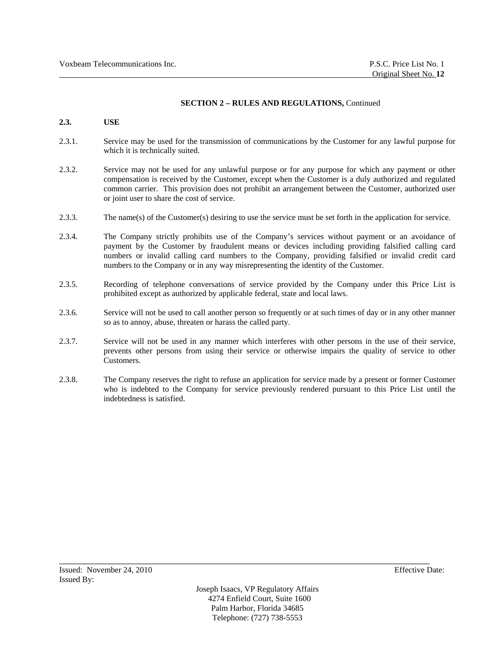## **2.3. USE**

- 2.3.1. Service may be used for the transmission of communications by the Customer for any lawful purpose for which it is technically suited.
- 2.3.2. Service may not be used for any unlawful purpose or for any purpose for which any payment or other compensation is received by the Customer, except when the Customer is a duly authorized and regulated common carrier. This provision does not prohibit an arrangement between the Customer, authorized user or joint user to share the cost of service.
- 2.3.3. The name(s) of the Customer(s) desiring to use the service must be set forth in the application for service.
- 2.3.4. The Company strictly prohibits use of the Company's services without payment or an avoidance of payment by the Customer by fraudulent means or devices including providing falsified calling card numbers or invalid calling card numbers to the Company, providing falsified or invalid credit card numbers to the Company or in any way misrepresenting the identity of the Customer.
- 2.3.5. Recording of telephone conversations of service provided by the Company under this Price List is prohibited except as authorized by applicable federal, state and local laws.
- 2.3.6. Service will not be used to call another person so frequently or at such times of day or in any other manner so as to annoy, abuse, threaten or harass the called party.
- 2.3.7. Service will not be used in any manner which interferes with other persons in the use of their service, prevents other persons from using their service or otherwise impairs the quality of service to other Customers.
- 2.3.8. The Company reserves the right to refuse an application for service made by a present or former Customer who is indebted to the Company for service previously rendered pursuant to this Price List until the indebtedness is satisfied.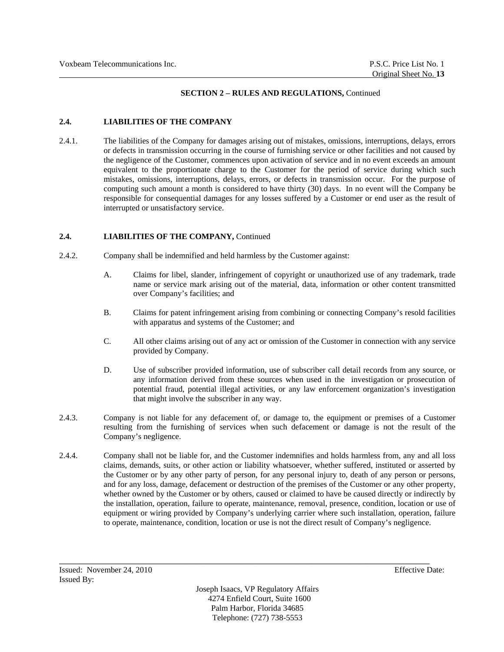# **2.4. LIABILITIES OF THE COMPANY**

2.4.1. The liabilities of the Company for damages arising out of mistakes, omissions, interruptions, delays, errors or defects in transmission occurring in the course of furnishing service or other facilities and not caused by the negligence of the Customer, commences upon activation of service and in no event exceeds an amount equivalent to the proportionate charge to the Customer for the period of service during which such mistakes, omissions, interruptions, delays, errors, or defects in transmission occur. For the purpose of computing such amount a month is considered to have thirty (30) days. In no event will the Company be responsible for consequential damages for any losses suffered by a Customer or end user as the result of interrupted or unsatisfactory service.

## 2.4. **LIABILITIES OF THE COMPANY, Continued**

- 2.4.2. Company shall be indemnified and held harmless by the Customer against:
	- A. Claims for libel, slander, infringement of copyright or unauthorized use of any trademark, trade name or service mark arising out of the material, data, information or other content transmitted over Company's facilities; and
	- B. Claims for patent infringement arising from combining or connecting Company's resold facilities with apparatus and systems of the Customer; and
	- C. All other claims arising out of any act or omission of the Customer in connection with any service provided by Company.
	- D. Use of subscriber provided information, use of subscriber call detail records from any source, or any information derived from these sources when used in the investigation or prosecution of potential fraud, potential illegal activities, or any law enforcement organization's investigation that might involve the subscriber in any way.
- 2.4.3. Company is not liable for any defacement of, or damage to, the equipment or premises of a Customer resulting from the furnishing of services when such defacement or damage is not the result of the Company's negligence.
- 2.4.4. Company shall not be liable for, and the Customer indemnifies and holds harmless from, any and all loss claims, demands, suits, or other action or liability whatsoever, whether suffered, instituted or asserted by the Customer or by any other party of person, for any personal injury to, death of any person or persons, and for any loss, damage, defacement or destruction of the premises of the Customer or any other property, whether owned by the Customer or by others, caused or claimed to have be caused directly or indirectly by the installation, operation, failure to operate, maintenance, removal, presence, condition, location or use of equipment or wiring provided by Company's underlying carrier where such installation, operation, failure to operate, maintenance, condition, location or use is not the direct result of Company's negligence.

Joseph Isaacs, VP Regulatory Affairs 4274 Enfield Court, Suite 1600 Palm Harbor, Florida 34685 Telephone: (727) 738-5553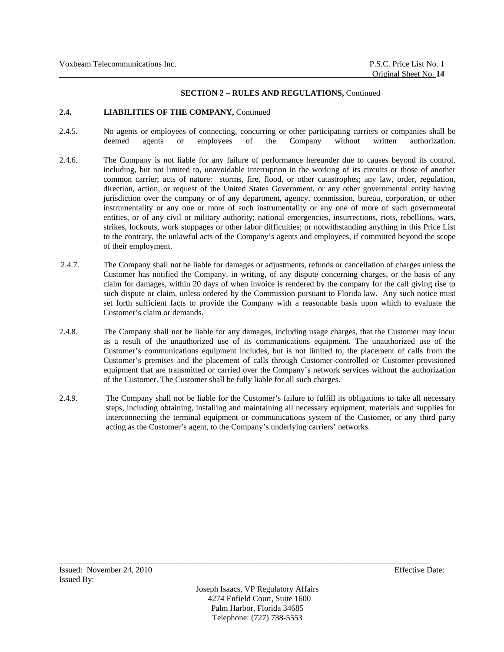### **2.4. LIABILITIES OF THE COMPANY,** Continued

- 2.4.5. No agents or employees of connecting, concurring or other participating carriers or companies shall be deemed agents or employees of the Company without written authorization.
- 2.4.6. The Company is not liable for any failure of performance hereunder due to causes beyond its control, including, but not limited to, unavoidable interruption in the working of its circuits or those of another common carrier; acts of nature: storms, fire, flood, or other catastrophes; any law, order, regulation, direction, action, or request of the United States Government, or any other governmental entity having jurisdiction over the company or of any department, agency, commission, bureau, corporation, or other instrumentality or any one or more of such instrumentality or any one of more of such governmental entities, or of any civil or military authority; national emergencies, insurrections, riots, rebellions, wars, strikes, lockouts, work stoppages or other labor difficulties; or notwithstanding anything in this Price List to the contrary, the unlawful acts of the Company's agents and employees, if committed beyond the scope of their employment.
- 2.4.7. The Company shall not be liable for damages or adjustments, refunds or cancellation of charges unless the Customer has notified the Company, in writing, of any dispute concerning charges, or the basis of any claim for damages, within 20 days of when invoice is rendered by the company for the call giving rise to such dispute or claim, unless ordered by the Commission pursuant to Florida law. Any such notice must set forth sufficient facts to provide the Company with a reasonable basis upon which to evaluate the Customer's claim or demands.
- 2.4.8. The Company shall not be liable for any damages, including usage charges, that the Customer may incur as a result of the unauthorized use of its communications equipment. The unauthorized use of the Customer's communications equipment includes, but is not limited to, the placement of calls from the Customer's premises and the placement of calls through Customer-controlled or Customer-provisioned equipment that are transmitted or carried over the Company's network services without the authorization of the Customer. The Customer shall be fully liable for all such charges.
- 2.4.9. The Company shall not be liable for the Customer's failure to fulfill its obligations to take all necessary steps, including obtaining, installing and maintaining all necessary equipment, materials and supplies for interconnecting the terminal equipment or communications system of the Customer, or any third party acting as the Customer's agent, to the Company's underlying carriers' networks.

Joseph Isaacs, VP Regulatory Affairs 4274 Enfield Court, Suite 1600 Palm Harbor, Florida 34685 Telephone: (727) 738-5553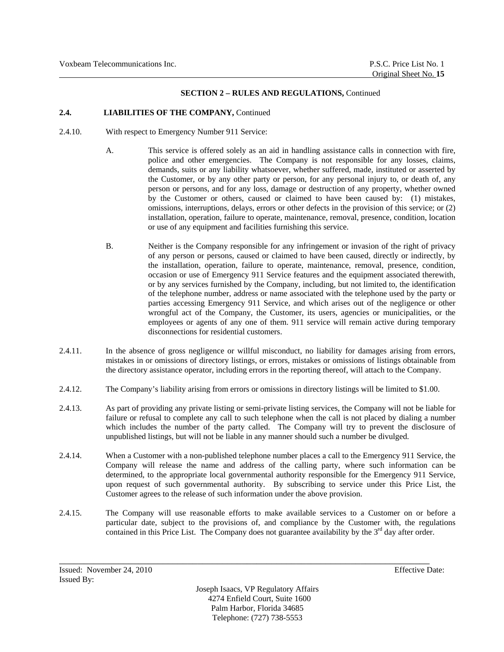# **2.4. LIABILITIES OF THE COMPANY,** Continued

- 2.4.10. With respect to Emergency Number 911 Service:
	- A. This service is offered solely as an aid in handling assistance calls in connection with fire, police and other emergencies. The Company is not responsible for any losses, claims, demands, suits or any liability whatsoever, whether suffered, made, instituted or asserted by the Customer, or by any other party or person, for any personal injury to, or death of, any person or persons, and for any loss, damage or destruction of any property, whether owned by the Customer or others, caused or claimed to have been caused by: (1) mistakes, omissions, interruptions, delays, errors or other defects in the provision of this service; or (2) installation, operation, failure to operate, maintenance, removal, presence, condition, location or use of any equipment and facilities furnishing this service.
	- B. Neither is the Company responsible for any infringement or invasion of the right of privacy of any person or persons, caused or claimed to have been caused, directly or indirectly, by the installation, operation, failure to operate, maintenance, removal, presence, condition, occasion or use of Emergency 911 Service features and the equipment associated therewith, or by any services furnished by the Company, including, but not limited to, the identification of the telephone number, address or name associated with the telephone used by the party or parties accessing Emergency 911 Service, and which arises out of the negligence or other wrongful act of the Company, the Customer, its users, agencies or municipalities, or the employees or agents of any one of them. 911 service will remain active during temporary disconnections for residential customers.
- 2.4.11. In the absence of gross negligence or willful misconduct, no liability for damages arising from errors, mistakes in or omissions of directory listings, or errors, mistakes or omissions of listings obtainable from the directory assistance operator, including errors in the reporting thereof, will attach to the Company.
- 2.4.12. The Company's liability arising from errors or omissions in directory listings will be limited to \$1.00.
- 2.4.13. As part of providing any private listing or semi-private listing services, the Company will not be liable for failure or refusal to complete any call to such telephone when the call is not placed by dialing a number which includes the number of the party called. The Company will try to prevent the disclosure of unpublished listings, but will not be liable in any manner should such a number be divulged.
- 2.4.14. When a Customer with a non-published telephone number places a call to the Emergency 911 Service, the Company will release the name and address of the calling party, where such information can be determined, to the appropriate local governmental authority responsible for the Emergency 911 Service, upon request of such governmental authority. By subscribing to service under this Price List, the Customer agrees to the release of such information under the above provision.
- 2.4.15. The Company will use reasonable efforts to make available services to a Customer on or before a particular date, subject to the provisions of, and compliance by the Customer with, the regulations contained in this Price List. The Company does not guarantee availability by the  $3<sup>rd</sup>$  day after order.

\_\_\_\_\_\_\_\_\_\_\_\_\_\_\_\_\_\_\_\_\_\_\_\_\_\_\_\_\_\_\_\_\_\_\_\_\_\_\_\_\_\_\_\_\_\_\_\_\_\_\_\_\_\_\_\_\_\_\_\_\_\_\_\_\_\_\_\_\_\_\_\_\_\_\_

Joseph Isaacs, VP Regulatory Affairs 4274 Enfield Court, Suite 1600 Palm Harbor, Florida 34685 Telephone: (727) 738-5553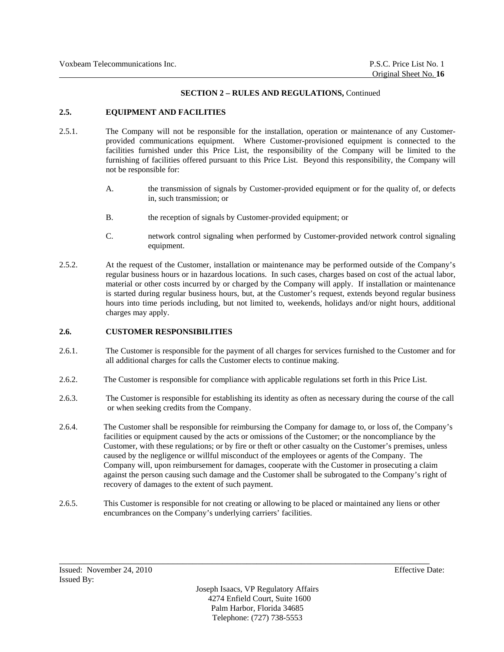## **2.5. EQUIPMENT AND FACILITIES**

- 2.5.1. The Company will not be responsible for the installation, operation or maintenance of any Customerprovided communications equipment. Where Customer-provisioned equipment is connected to the facilities furnished under this Price List, the responsibility of the Company will be limited to the furnishing of facilities offered pursuant to this Price List. Beyond this responsibility, the Company will not be responsible for:
	- A. the transmission of signals by Customer-provided equipment or for the quality of, or defects in, such transmission; or
	- B. the reception of signals by Customer-provided equipment; or
	- C. network control signaling when performed by Customer-provided network control signaling equipment.
- 2.5.2. At the request of the Customer, installation or maintenance may be performed outside of the Company's regular business hours or in hazardous locations. In such cases, charges based on cost of the actual labor, material or other costs incurred by or charged by the Company will apply. If installation or maintenance is started during regular business hours, but, at the Customer's request, extends beyond regular business hours into time periods including, but not limited to, weekends, holidays and/or night hours, additional charges may apply.

## **2.6. CUSTOMER RESPONSIBILITIES**

- 2.6.1. The Customer is responsible for the payment of all charges for services furnished to the Customer and for all additional charges for calls the Customer elects to continue making.
- 2.6.2. The Customer is responsible for compliance with applicable regulations set forth in this Price List.
- 2.6.3. The Customer is responsible for establishing its identity as often as necessary during the course of the call or when seeking credits from the Company.
- 2.6.4. The Customer shall be responsible for reimbursing the Company for damage to, or loss of, the Company's facilities or equipment caused by the acts or omissions of the Customer; or the noncompliance by the Customer, with these regulations; or by fire or theft or other casualty on the Customer's premises, unless caused by the negligence or willful misconduct of the employees or agents of the Company. The Company will, upon reimbursement for damages, cooperate with the Customer in prosecuting a claim against the person causing such damage and the Customer shall be subrogated to the Company's right of recovery of damages to the extent of such payment.
- 2.6.5. This Customer is responsible for not creating or allowing to be placed or maintained any liens or other encumbrances on the Company's underlying carriers' facilities.

\_\_\_\_\_\_\_\_\_\_\_\_\_\_\_\_\_\_\_\_\_\_\_\_\_\_\_\_\_\_\_\_\_\_\_\_\_\_\_\_\_\_\_\_\_\_\_\_\_\_\_\_\_\_\_\_\_\_\_\_\_\_\_\_\_\_\_\_\_\_\_\_\_\_\_

Joseph Isaacs, VP Regulatory Affairs 4274 Enfield Court, Suite 1600 Palm Harbor, Florida 34685 Telephone: (727) 738-5553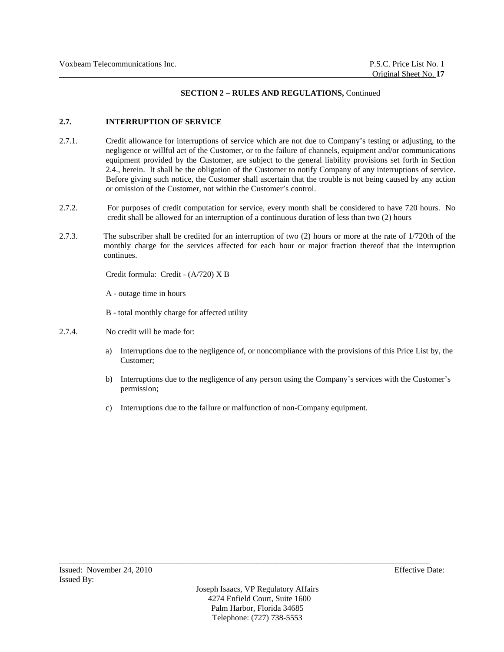## **2.7. INTERRUPTION OF SERVICE**

- 2.7.1. Credit allowance for interruptions of service which are not due to Company's testing or adjusting, to the negligence or willful act of the Customer, or to the failure of channels, equipment and/or communications equipment provided by the Customer, are subject to the general liability provisions set forth in Section 2.4., herein. It shall be the obligation of the Customer to notify Company of any interruptions of service. Before giving such notice, the Customer shall ascertain that the trouble is not being caused by any action or omission of the Customer, not within the Customer's control.
- 2.7.2. For purposes of credit computation for service, every month shall be considered to have 720 hours. No credit shall be allowed for an interruption of a continuous duration of less than two (2) hours
- 2.7.3. The subscriber shall be credited for an interruption of two (2) hours or more at the rate of 1/720th of the monthly charge for the services affected for each hour or major fraction thereof that the interruption continues.

Credit formula: Credit - (A/720) X B

A - outage time in hours

B - total monthly charge for affected utility

- 2.7.4. No credit will be made for:
	- a) Interruptions due to the negligence of, or noncompliance with the provisions of this Price List by, the Customer;
	- b) Interruptions due to the negligence of any person using the Company's services with the Customer's permission;
	- c) Interruptions due to the failure or malfunction of non-Company equipment.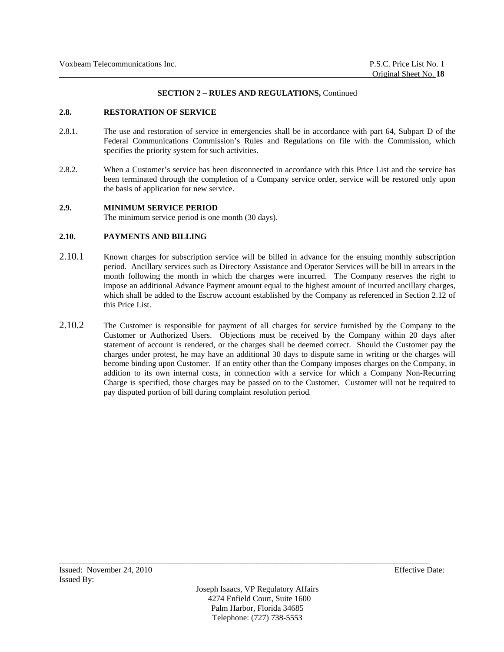### **2.8. RESTORATION OF SERVICE**

- 2.8.1. The use and restoration of service in emergencies shall be in accordance with part 64, Subpart D of the Federal Communications Commission's Rules and Regulations on file with the Commission, which specifies the priority system for such activities.
- 2.8.2. When a Customer's service has been disconnected in accordance with this Price List and the service has been terminated through the completion of a Company service order, service will be restored only upon the basis of application for new service.

### **2.9. MINIMUM SERVICE PERIOD**

The minimum service period is one month (30 days).

## **2.10. PAYMENTS AND BILLING**

- 2.10.1 Known charges for subscription service will be billed in advance for the ensuing monthly subscription period. Ancillary services such as Directory Assistance and Operator Services will be bill in arrears in the month following the month in which the charges were incurred. The Company reserves the right to impose an additional Advance Payment amount equal to the highest amount of incurred ancillary charges, which shall be added to the Escrow account established by the Company as referenced in Section 2.12 of this Price List.
- 2.10.2 The Customer is responsible for payment of all charges for service furnished by the Company to the Customer or Authorized Users. Objections must be received by the Company within 20 days after statement of account is rendered, or the charges shall be deemed correct. Should the Customer pay the charges under protest, he may have an additional 30 days to dispute same in writing or the charges will become binding upon Customer. If an entity other than the Company imposes charges on the Company, in addition to its own internal costs, in connection with a service for which a Company Non-Recurring Charge is specified, those charges may be passed on to the Customer. Customer will not be required to pay disputed portion of bill during complaint resolution period.

Joseph Isaacs, VP Regulatory Affairs 4274 Enfield Court, Suite 1600 Palm Harbor, Florida 34685 Telephone: (727) 738-5553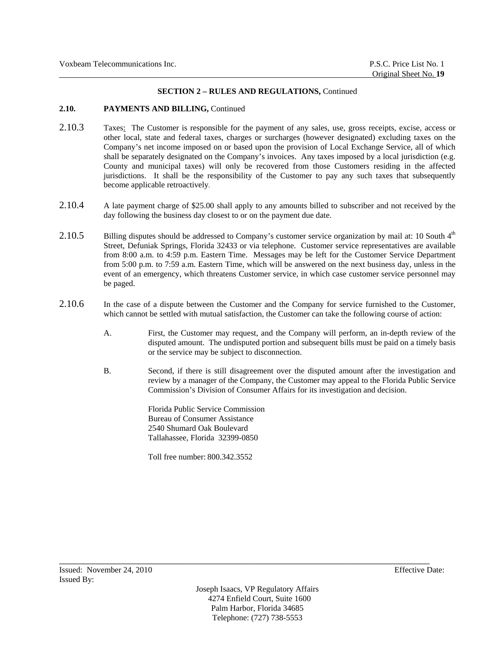## 2.10. PAYMENTS AND BILLING, Continued

- 2.10.3 Taxes: The Customer is responsible for the payment of any sales, use, gross receipts, excise, access or other local, state and federal taxes, charges or surcharges (however designated) excluding taxes on the Company's net income imposed on or based upon the provision of Local Exchange Service, all of which shall be separately designated on the Company's invoices. Any taxes imposed by a local jurisdiction (e.g. County and municipal taxes) will only be recovered from those Customers residing in the affected jurisdictions. It shall be the responsibility of the Customer to pay any such taxes that subsequently become applicable retroactively.
- 2.10.4 A late payment charge of \$25.00 shall apply to any amounts billed to subscriber and not received by the day following the business day closest to or on the payment due date.
- 2.10.5 Billing disputes should be addressed to Company's customer service organization by mail at: 10 South 4<sup>th</sup> Street, Defuniak Springs, Florida 32433 or via telephone. Customer service representatives are available from 8:00 a.m. to 4:59 p.m. Eastern Time. Messages may be left for the Customer Service Department from 5:00 p.m. to 7:59 a.m. Eastern Time, which will be answered on the next business day, unless in the event of an emergency, which threatens Customer service, in which case customer service personnel may be paged.
- 2.10.6 In the case of a dispute between the Customer and the Company for service furnished to the Customer, which cannot be settled with mutual satisfaction, the Customer can take the following course of action:
	- A. First, the Customer may request, and the Company will perform, an in-depth review of the disputed amount. The undisputed portion and subsequent bills must be paid on a timely basis or the service may be subject to disconnection.
	- B. Second, if there is still disagreement over the disputed amount after the investigation and review by a manager of the Company, the Customer may appeal to the Florida Public Service Commission's Division of Consumer Affairs for its investigation and decision.

Florida Public Service Commission Bureau of Consumer Assistance 2540 Shumard Oak Boulevard Tallahassee, Florida 32399-0850

Toll free number: 800.342.3552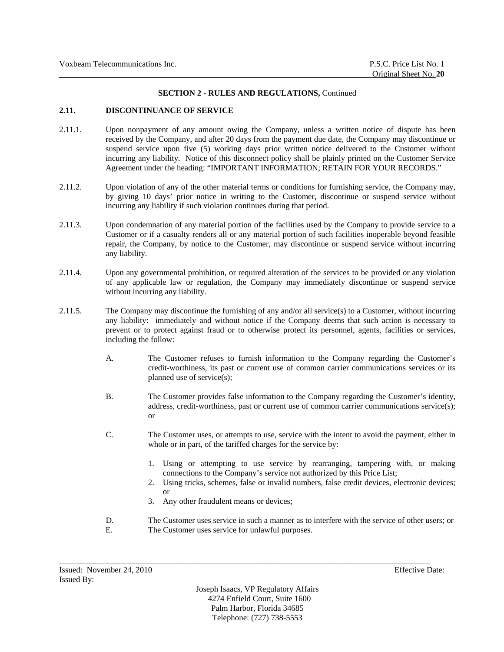### **2.11. DISCONTINUANCE OF SERVICE**

- 2.11.1. Upon nonpayment of any amount owing the Company, unless a written notice of dispute has been received by the Company, and after 20 days from the payment due date, the Company may discontinue or suspend service upon five (5) working days prior written notice delivered to the Customer without incurring any liability. Notice of this disconnect policy shall be plainly printed on the Customer Service Agreement under the heading: "IMPORTANT INFORMATION; RETAIN FOR YOUR RECORDS."
- 2.11.2. Upon violation of any of the other material terms or conditions for furnishing service, the Company may, by giving 10 days' prior notice in writing to the Customer, discontinue or suspend service without incurring any liability if such violation continues during that period.
- 2.11.3. Upon condemnation of any material portion of the facilities used by the Company to provide service to a Customer or if a casualty renders all or any material portion of such facilities inoperable beyond feasible repair, the Company, by notice to the Customer, may discontinue or suspend service without incurring any liability.
- 2.11.4. Upon any governmental prohibition, or required alteration of the services to be provided or any violation of any applicable law or regulation, the Company may immediately discontinue or suspend service without incurring any liability.
- 2.11.5. The Company may discontinue the furnishing of any and/or all service(s) to a Customer, without incurring any liability: immediately and without notice if the Company deems that such action is necessary to prevent or to protect against fraud or to otherwise protect its personnel, agents, facilities or services, including the follow:
	- A. The Customer refuses to furnish information to the Company regarding the Customer's credit-worthiness, its past or current use of common carrier communications services or its planned use of service(s);
	- B. The Customer provides false information to the Company regarding the Customer's identity, address, credit-worthiness, past or current use of common carrier communications service(s); or
	- C. The Customer uses, or attempts to use, service with the intent to avoid the payment, either in whole or in part, of the tariffed charges for the service by:
		- 1. Using or attempting to use service by rearranging, tampering with, or making connections to the Company's service not authorized by this Price List;
		- 2. Using tricks, schemes, false or invalid numbers, false credit devices, electronic devices; or
		- 3. Any other fraudulent means or devices;
	- D. The Customer uses service in such a manner as to interfere with the service of other users; or E. The Customer uses service for unlawful purposes.

Joseph Isaacs, VP Regulatory Affairs 4274 Enfield Court, Suite 1600 Palm Harbor, Florida 34685 Telephone: (727) 738-5553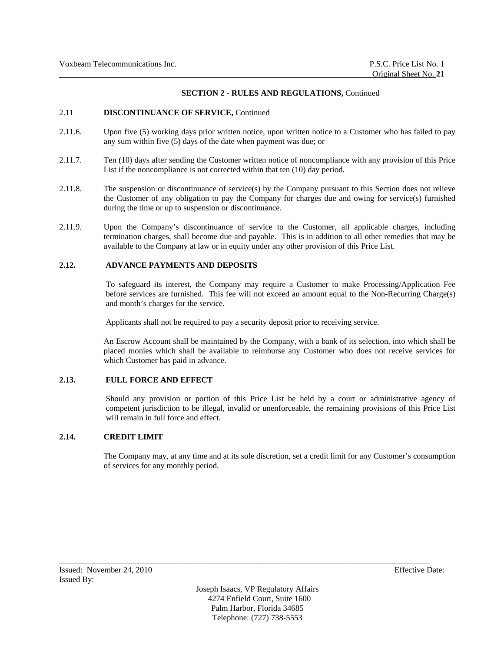### 2.11 **DISCONTINUANCE OF SERVICE,** Continued

- 2.11.6. Upon five (5) working days prior written notice, upon written notice to a Customer who has failed to pay any sum within five (5) days of the date when payment was due; or
- 2.11.7. Ten (10) days after sending the Customer written notice of noncompliance with any provision of this Price List if the noncompliance is not corrected within that ten (10) day period.
- 2.11.8. The suspension or discontinuance of service(s) by the Company pursuant to this Section does not relieve the Customer of any obligation to pay the Company for charges due and owing for service(s) furnished during the time or up to suspension or discontinuance.
- 2.11.9. Upon the Company's discontinuance of service to the Customer, all applicable charges, including termination charges, shall become due and payable. This is in addition to all other remedies that may be available to the Company at law or in equity under any other provision of this Price List.

## **2.12. ADVANCE PAYMENTS AND DEPOSITS**

To safeguard its interest, the Company may require a Customer to make Processing/Application Fee before services are furnished. This fee will not exceed an amount equal to the Non-Recurring Charge(s) and month's charges for the service.

Applicants shall not be required to pay a security deposit prior to receiving service.

An Escrow Account shall be maintained by the Company, with a bank of its selection, into which shall be placed monies which shall be available to reimburse any Customer who does not receive services for which Customer has paid in advance.

## **2.13. FULL FORCE AND EFFECT**

Should any provision or portion of this Price List be held by a court or administrative agency of competent jurisdiction to be illegal, invalid or unenforceable, the remaining provisions of this Price List will remain in full force and effect.

## **2.14. CREDIT LIMIT**

The Company may, at any time and at its sole discretion, set a credit limit for any Customer's consumption of services for any monthly period.

Joseph Isaacs, VP Regulatory Affairs 4274 Enfield Court, Suite 1600 Palm Harbor, Florida 34685 Telephone: (727) 738-5553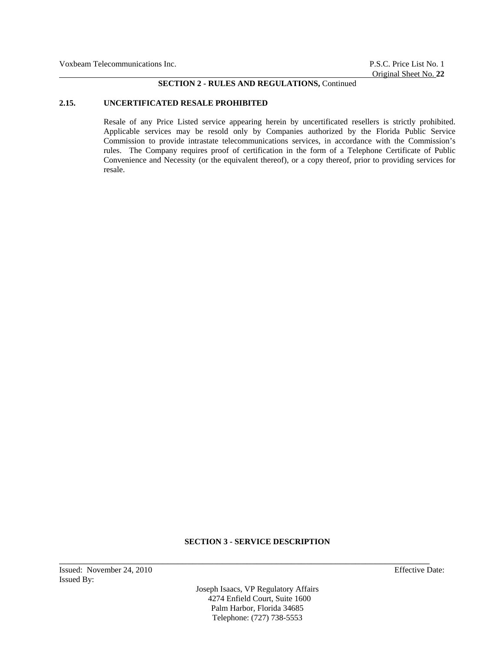#### **2.15. UNCERTIFICATED RESALE PROHIBITED**

Resale of any Price Listed service appearing herein by uncertificated resellers is strictly prohibited. Applicable services may be resold only by Companies authorized by the Florida Public Service Commission to provide intrastate telecommunications services, in accordance with the Commission's rules. The Company requires proof of certification in the form of a Telephone Certificate of Public Convenience and Necessity (or the equivalent thereof), or a copy thereof, prior to providing services for resale.

## **SECTION 3 - SERVICE DESCRIPTION**

\_\_\_\_\_\_\_\_\_\_\_\_\_\_\_\_\_\_\_\_\_\_\_\_\_\_\_\_\_\_\_\_\_\_\_\_\_\_\_\_\_\_\_\_\_\_\_\_\_\_\_\_\_\_\_\_\_\_\_\_\_\_\_\_\_\_\_\_\_\_\_\_\_\_\_

Joseph Isaacs, VP Regulatory Affairs 4274 Enfield Court, Suite 1600 Palm Harbor, Florida 34685 Telephone: (727) 738-5553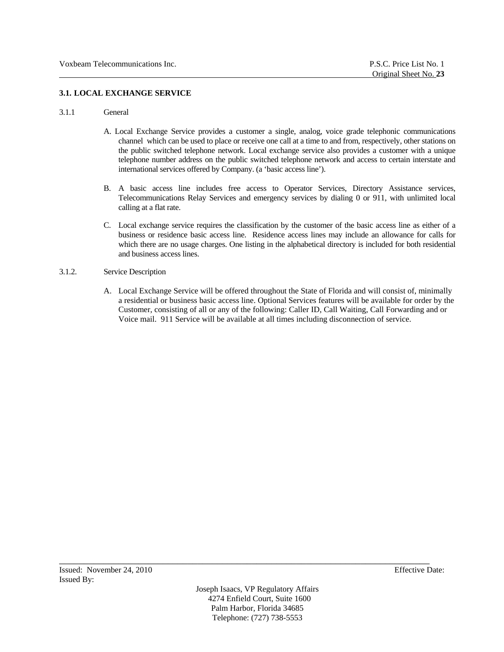# **3.1. LOCAL EXCHANGE SERVICE**

### 3.1.1 General

- A. Local Exchange Service provides a customer a single, analog, voice grade telephonic communications channel which can be used to place or receive one call at a time to and from, respectively, other stations on the public switched telephone network. Local exchange service also provides a customer with a unique telephone number address on the public switched telephone network and access to certain interstate and international services offered by Company. (a 'basic access line').
- B. A basic access line includes free access to Operator Services, Directory Assistance services, Telecommunications Relay Services and emergency services by dialing 0 or 911, with unlimited local calling at a flat rate.
- C. Local exchange service requires the classification by the customer of the basic access line as either of a business or residence basic access line. Residence access lines may include an allowance for calls for which there are no usage charges. One listing in the alphabetical directory is included for both residential and business access lines.

## 3.1.2. Service Description

A. Local Exchange Service will be offered throughout the State of Florida and will consist of, minimally a residential or business basic access line. Optional Services features will be available for order by the Customer, consisting of all or any of the following: Caller ID, Call Waiting, Call Forwarding and or Voice mail. 911 Service will be available at all times including disconnection of service.

Joseph Isaacs, VP Regulatory Affairs 4274 Enfield Court, Suite 1600 Palm Harbor, Florida 34685 Telephone: (727) 738-5553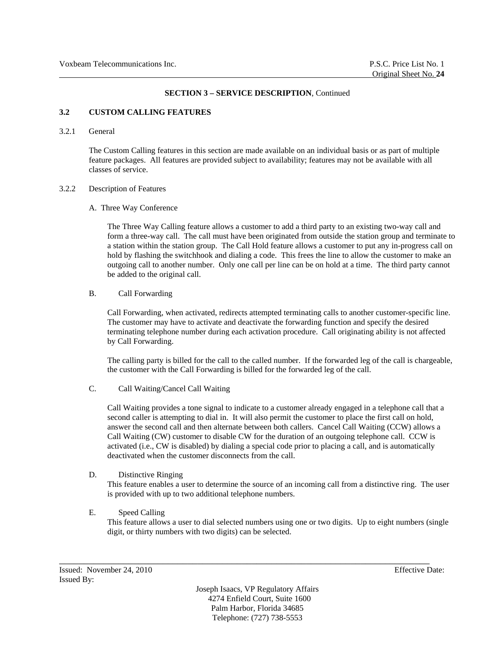## **3.2 CUSTOM CALLING FEATURES**

## 3.2.1 General

The Custom Calling features in this section are made available on an individual basis or as part of multiple feature packages. All features are provided subject to availability; features may not be available with all classes of service.

#### 3.2.2 Description of Features

### A. Three Way Conference

The Three Way Calling feature allows a customer to add a third party to an existing two-way call and form a three-way call. The call must have been originated from outside the station group and terminate to a station within the station group. The Call Hold feature allows a customer to put any in-progress call on hold by flashing the switchhook and dialing a code. This frees the line to allow the customer to make an outgoing call to another number. Only one call per line can be on hold at a time. The third party cannot be added to the original call.

### B. Call Forwarding

Call Forwarding, when activated, redirects attempted terminating calls to another customer-specific line. The customer may have to activate and deactivate the forwarding function and specify the desired terminating telephone number during each activation procedure. Call originating ability is not affected by Call Forwarding.

The calling party is billed for the call to the called number. If the forwarded leg of the call is chargeable, the customer with the Call Forwarding is billed for the forwarded leg of the call.

### C. Call Waiting/Cancel Call Waiting

Call Waiting provides a tone signal to indicate to a customer already engaged in a telephone call that a second caller is attempting to dial in. It will also permit the customer to place the first call on hold, answer the second call and then alternate between both callers. Cancel Call Waiting (CCW) allows a Call Waiting (CW) customer to disable CW for the duration of an outgoing telephone call. CCW is activated (i.e., CW is disabled) by dialing a special code prior to placing a call, and is automatically deactivated when the customer disconnects from the call.

### D. Distinctive Ringing

This feature enables a user to determine the source of an incoming call from a distinctive ring. The user is provided with up to two additional telephone numbers.

### E. Speed Calling

This feature allows a user to dial selected numbers using one or two digits. Up to eight numbers (single digit, or thirty numbers with two digits) can be selected.

Joseph Isaacs, VP Regulatory Affairs 4274 Enfield Court, Suite 1600 Palm Harbor, Florida 34685 Telephone: (727) 738-5553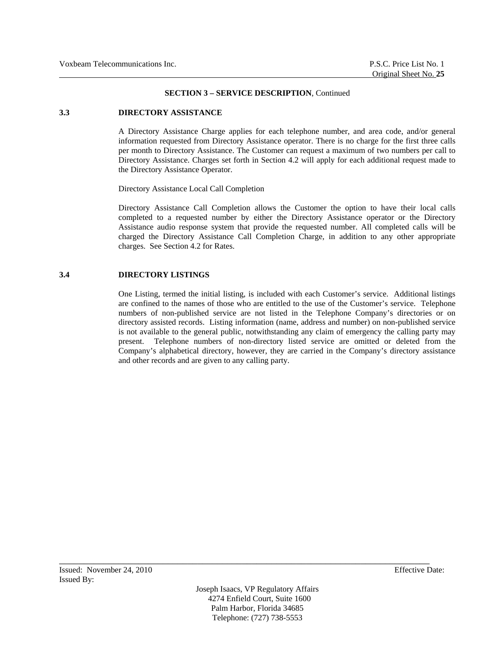### **3.3 DIRECTORY ASSISTANCE**

A Directory Assistance Charge applies for each telephone number, and area code, and/or general information requested from Directory Assistance operator. There is no charge for the first three calls per month to Directory Assistance. The Customer can request a maximum of two numbers per call to Directory Assistance. Charges set forth in Section 4.2 will apply for each additional request made to the Directory Assistance Operator.

Directory Assistance Local Call Completion

Directory Assistance Call Completion allows the Customer the option to have their local calls completed to a requested number by either the Directory Assistance operator or the Directory Assistance audio response system that provide the requested number. All completed calls will be charged the Directory Assistance Call Completion Charge, in addition to any other appropriate charges. See Section 4.2 for Rates.

### **3.4 DIRECTORY LISTINGS**

One Listing, termed the initial listing, is included with each Customer's service. Additional listings are confined to the names of those who are entitled to the use of the Customer's service. Telephone numbers of non-published service are not listed in the Telephone Company's directories or on directory assisted records. Listing information (name, address and number) on non-published service is not available to the general public, notwithstanding any claim of emergency the calling party may present. Telephone numbers of non-directory listed service are omitted or deleted from the Company's alphabetical directory, however, they are carried in the Company's directory assistance and other records and are given to any calling party.

Joseph Isaacs, VP Regulatory Affairs 4274 Enfield Court, Suite 1600 Palm Harbor, Florida 34685 Telephone: (727) 738-5553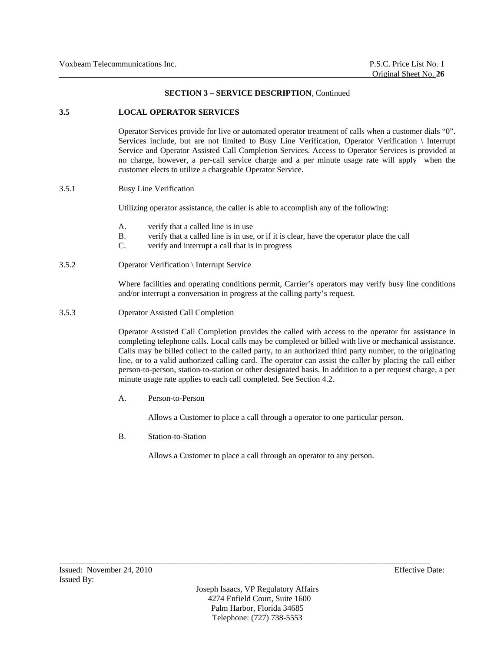### **3.5 LOCAL OPERATOR SERVICES**

Operator Services provide for live or automated operator treatment of calls when a customer dials "0". Services include, but are not limited to Busy Line Verification, Operator Verification \ Interrupt Service and Operator Assisted Call Completion Services. Access to Operator Services is provided at no charge, however, a per-call service charge and a per minute usage rate will apply when the customer elects to utilize a chargeable Operator Service.

## 3.5.1 Busy Line Verification

Utilizing operator assistance, the caller is able to accomplish any of the following:

- A. verify that a called line is in use
- B. verify that a called line is in use, or if it is clear, have the operator place the call
- C. verify and interrupt a call that is in progress
- 3.5.2 Operator Verification \ Interrupt Service

Where facilities and operating conditions permit, Carrier's operators may verify busy line conditions and/or interrupt a conversation in progress at the calling party's request.

3.5.3 Operator Assisted Call Completion

Operator Assisted Call Completion provides the called with access to the operator for assistance in completing telephone calls. Local calls may be completed or billed with live or mechanical assistance. Calls may be billed collect to the called party, to an authorized third party number, to the originating line, or to a valid authorized calling card. The operator can assist the caller by placing the call either person-to-person, station-to-station or other designated basis. In addition to a per request charge, a per minute usage rate applies to each call completed. See Section 4.2.

A. Person-to-Person

Allows a Customer to place a call through a operator to one particular person.

B. Station-to-Station

Allows a Customer to place a call through an operator to any person.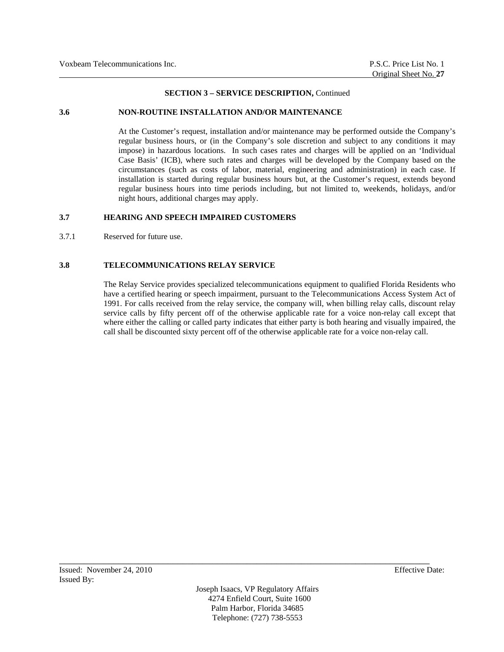### **3.6 NON-ROUTINE INSTALLATION AND/OR MAINTENANCE**

At the Customer's request, installation and/or maintenance may be performed outside the Company's regular business hours, or (in the Company's sole discretion and subject to any conditions it may impose) in hazardous locations. In such cases rates and charges will be applied on an 'Individual Case Basis' (ICB), where such rates and charges will be developed by the Company based on the circumstances (such as costs of labor, material, engineering and administration) in each case. If installation is started during regular business hours but, at the Customer's request, extends beyond regular business hours into time periods including, but not limited to, weekends, holidays, and/or night hours, additional charges may apply.

## **3.7 HEARING AND SPEECH IMPAIRED CUSTOMERS**

3.7.1 Reserved for future use.

## **3.8 TELECOMMUNICATIONS RELAY SERVICE**

 The Relay Service provides specialized telecommunications equipment to qualified Florida Residents who have a certified hearing or speech impairment, pursuant to the Telecommunications Access System Act of 1991. For calls received from the relay service, the company will, when billing relay calls, discount relay service calls by fifty percent off of the otherwise applicable rate for a voice non-relay call except that where either the calling or called party indicates that either party is both hearing and visually impaired, the call shall be discounted sixty percent off of the otherwise applicable rate for a voice non-relay call.

Joseph Isaacs, VP Regulatory Affairs 4274 Enfield Court, Suite 1600 Palm Harbor, Florida 34685 Telephone: (727) 738-5553